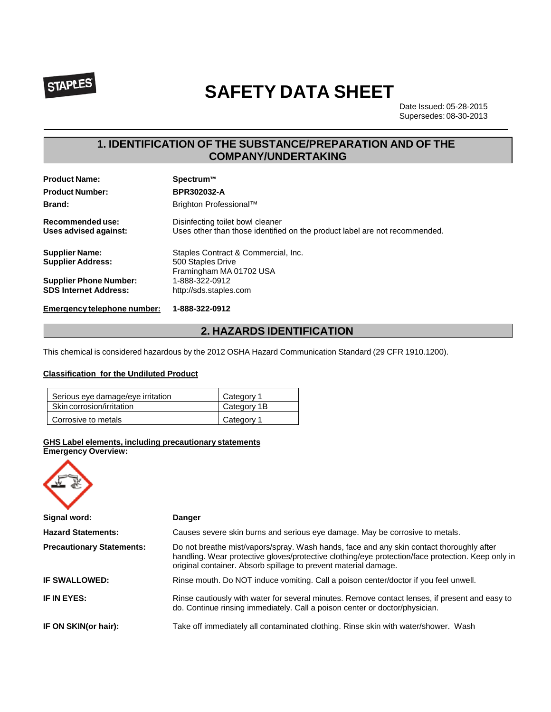

# **SAFETY DATA SHEET**

Date Issued: 05-28-2015 Supersedes: 08-30-2013

# **1. IDENTIFICATION OF THE SUBSTANCE/PREPARATION AND OF THE COMPANY/UNDERTAKING**

| <b>Product Name:</b>                                          | Spectrum™                                                                                                      |
|---------------------------------------------------------------|----------------------------------------------------------------------------------------------------------------|
| <b>Product Number:</b>                                        | BPR302032-A                                                                                                    |
| <b>Brand:</b>                                                 | Brighton Professional™                                                                                         |
| Recommended use:<br>Uses advised against:                     | Disinfecting toilet bowl cleaner<br>Uses other than those identified on the product label are not recommended. |
| <b>Supplier Name:</b><br><b>Supplier Address:</b>             | Staples Contract & Commercial, Inc.<br>500 Staples Drive<br>Framingham MA 01702 USA                            |
| <b>Supplier Phone Number:</b><br><b>SDS Internet Address:</b> | 1-888-322-0912<br>http://sds.staples.com                                                                       |
| Emergency telephone number:                                   | 1-888-322-0912                                                                                                 |

## **2. HAZARDS IDENTIFICATION**

This chemical is considered hazardous by the 2012 OSHA Hazard Communication Standard (29 CFR 1910.1200).

#### **Classification for the Undiluted Product**

| Serious eye damage/eye irritation | Category 1  |
|-----------------------------------|-------------|
| Skin corrosion/irritation         | Category 1B |
| Corrosive to metals               | Category 1  |

#### **GHS Label elements, including precautionary statements**

**Emergency Overview:**

| Signal word:                     | <b>Danger</b>                                                                                                                                                                                                                                                    |
|----------------------------------|------------------------------------------------------------------------------------------------------------------------------------------------------------------------------------------------------------------------------------------------------------------|
| <b>Hazard Statements:</b>        | Causes severe skin burns and serious eye damage. May be corrosive to metals.                                                                                                                                                                                     |
| <b>Precautionary Statements:</b> | Do not breathe mist/vapors/spray. Wash hands, face and any skin contact thoroughly after<br>handling. Wear protective gloves/protective clothing/eye protection/face protection. Keep only in<br>original container. Absorb spillage to prevent material damage. |
| <b>IF SWALLOWED:</b>             | Rinse mouth. Do NOT induce vomiting. Call a poison center/doctor if you feel unwell.                                                                                                                                                                             |
| IF IN EYES:                      | Rinse cautiously with water for several minutes. Remove contact lenses, if present and easy to<br>do. Continue rinsing immediately. Call a poison center or doctor/physician.                                                                                    |
| IF ON SKIN(or hair):             | Take off immediately all contaminated clothing. Rinse skin with water/shower. Wash                                                                                                                                                                               |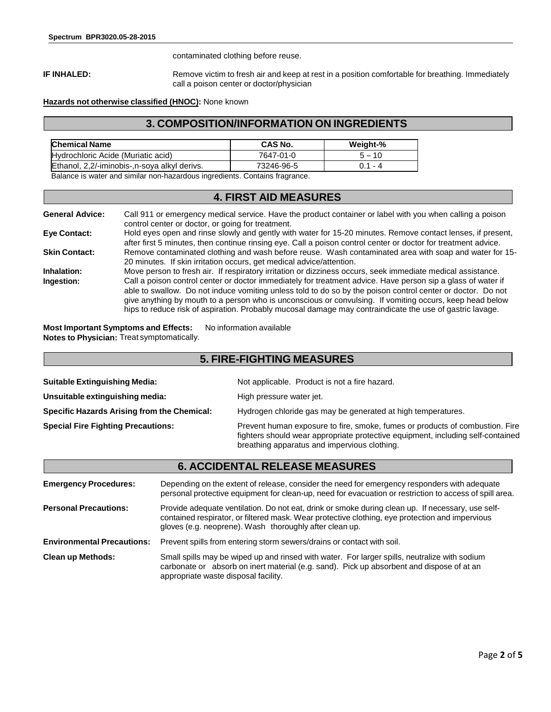contaminated clothing before reuse.

**IF INHALED:** Remove victim to fresh air and keep at rest in a position comfortable for breathing. Immediately call a poison center or doctor/physician

#### **Hazards not otherwise classified (HNOC):** None known

### **3. COMPOSITION/INFORMATION ON INGREDIENTS**

| <b>Chemical Name</b>                                                       | <b>CAS No.</b> | Weight-% |  |  |
|----------------------------------------------------------------------------|----------------|----------|--|--|
| Hydrochloric Acide (Muriatic acid)                                         | 7647-01-0      | $5 - 10$ |  |  |
| Ethanol, 2,2/-iminobis-, n-soya alkyl derivs.<br>73246-96-5<br>በ 1 - 4     |                |          |  |  |
| Ralance is water and similar non-hazardous ingredients. Contains fragments |                |          |  |  |

ar non-hazardous ingredients. Contains fragrance.

## **4. FIRST AID MEASURES**

| <b>General Advice:</b> | Call 911 or emergency medical service. Have the product container or label with you when calling a poison<br>control center or doctor, or going for treatment.                                                                                                                                                                                                                                                                                      |
|------------------------|-----------------------------------------------------------------------------------------------------------------------------------------------------------------------------------------------------------------------------------------------------------------------------------------------------------------------------------------------------------------------------------------------------------------------------------------------------|
| <b>Eye Contact:</b>    | Hold eyes open and rinse slowly and gently with water for 15-20 minutes. Remove contact lenses, if present,<br>after first 5 minutes, then continue rinsing eye. Call a poison control center or doctor for treatment advice.                                                                                                                                                                                                                       |
| <b>Skin Contact:</b>   | Remove contaminated clothing and wash before reuse. Wash contaminated area with soap and water for 15-<br>20 minutes. If skin irritation occurs, get medical advice/attention.                                                                                                                                                                                                                                                                      |
| Inhalation:            | Move person to fresh air. If respiratory irritation or dizziness occurs, seek immediate medical assistance.                                                                                                                                                                                                                                                                                                                                         |
| Ingestion:             | Call a poison control center or doctor immediately for treatment advice. Have person sip a glass of water if<br>able to swallow. Do not induce vomiting unless told to do so by the poison control center or doctor. Do not<br>give anything by mouth to a person who is unconscious or convulsing. If vomiting occurs, keep head below<br>hips to reduce risk of aspiration. Probably mucosal damage may contraindicate the use of gastric lavage. |

**Most Important Symptoms and Effects:** No information available **Notes to Physician:** Treat symptomatically.

## **5. FIRE-FIGHTING MEASURES**

| <b>Suitable Extinguishing Media:</b>        | Not applicable. Product is not a fire hazard.                                                                                                                                                                   |
|---------------------------------------------|-----------------------------------------------------------------------------------------------------------------------------------------------------------------------------------------------------------------|
| Unsuitable extinguishing media:             | High pressure water jet.                                                                                                                                                                                        |
| Specific Hazards Arising from the Chemical: | Hydrogen chloride gas may be generated at high temperatures.                                                                                                                                                    |
| <b>Special Fire Fighting Precautions:</b>   | Prevent human exposure to fire, smoke, fumes or products of combustion. Fire<br>fighters should wear appropriate protective equipment, including self-contained<br>breathing apparatus and impervious clothing. |

# **6. ACCIDENTAL RELEASE MEASURES**

| <b>Emergency Procedures:</b>      | Depending on the extent of release, consider the need for emergency responders with adequate<br>personal protective equipment for clean-up, need for evacuation or restriction to access of spill area.                                                         |
|-----------------------------------|-----------------------------------------------------------------------------------------------------------------------------------------------------------------------------------------------------------------------------------------------------------------|
| <b>Personal Precautions:</b>      | Provide adequate ventilation. Do not eat, drink or smoke during clean up. If necessary, use self-<br>contained respirator, or filtered mask. Wear protective clothing, eye protection and impervious<br>gloves (e.g. neoprene). Wash thoroughly after clean up. |
| <b>Environmental Precautions:</b> | Prevent spills from entering storm sewers/drains or contact with soil.                                                                                                                                                                                          |
| <b>Clean up Methods:</b>          | Small spills may be wiped up and rinsed with water. For larger spills, neutralize with sodium<br>carbonate or absorb on inert material (e.g. sand). Pick up absorbent and dispose of at an<br>appropriate waste disposal facility.                              |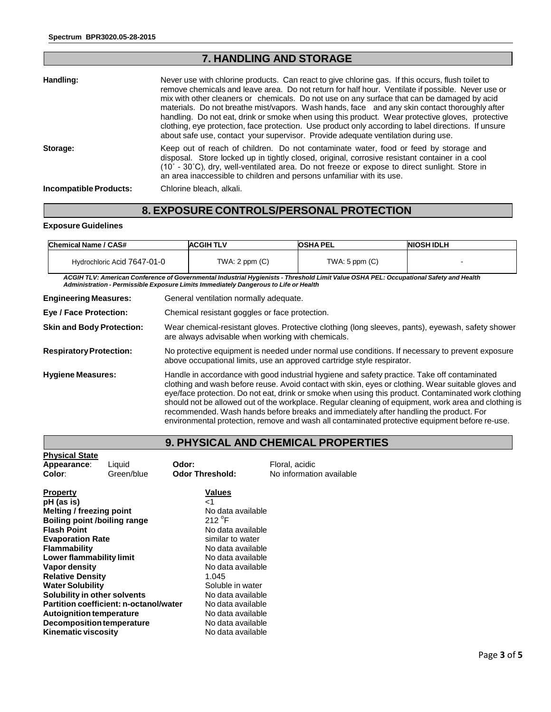# **7. HANDLING AND STORAGE**

| Handling:              | Never use with chlorine products. Can react to give chlorine gas. If this occurs, flush toilet to<br>remove chemicals and leave area. Do not return for half hour. Ventilate if possible. Never use or<br>mix with other cleaners or chemicals. Do not use on any surface that can be damaged by acid<br>materials. Do not breathe mist/vapors. Wash hands, face and any skin contact thoroughly after<br>handling. Do not eat, drink or smoke when using this product. Wear protective gloves, protective<br>clothing, eye protection, face protection. Use product only according to label directions. If unsure<br>about safe use, contact your supervisor. Provide adequate ventilation during use. |  |  |
|------------------------|---------------------------------------------------------------------------------------------------------------------------------------------------------------------------------------------------------------------------------------------------------------------------------------------------------------------------------------------------------------------------------------------------------------------------------------------------------------------------------------------------------------------------------------------------------------------------------------------------------------------------------------------------------------------------------------------------------|--|--|
| Storage:               | Keep out of reach of children. Do not contaminate water, food or feed by storage and<br>disposal. Store locked up in tightly closed, original, corrosive resistant container in a cool<br>$(10^{\circ} - 30^{\circ}$ C), dry, well-ventilated area. Do not freeze or expose to direct sunlight. Store in<br>an area inaccessible to children and persons unfamiliar with its use.                                                                                                                                                                                                                                                                                                                       |  |  |
| Incompatible Products: | Chlorine bleach, alkali.                                                                                                                                                                                                                                                                                                                                                                                                                                                                                                                                                                                                                                                                                |  |  |

# **8. EXPOSURE CONTROLS/PERSONAL PROTECTION**

#### **Exposure Guidelines**

| Chemical Name / CAS#        | <b>ACGIH TLV</b> | <b>OSHA PEL</b>   | <b>NIOSH IDLH</b> |
|-----------------------------|------------------|-------------------|-------------------|
| Hydrochloric Acid 7647-01-0 | TWA: 2 ppm (C)   | $TWA:5$ ppm $(C)$ |                   |

ACGIH TLV: American Conference of Governmental Industrial Hygienists - Threshold Limit Value OSHA PEL: Occupational Safety and Health *Administration - Permissible Exposure Limits Immediately Dangerous to Life or Health*

| <b>Engineering Measures:</b>     | General ventilation normally adequate.                                                                                                                                                                                                                                                                                                                                                                                                                                                                                                                                                                        |
|----------------------------------|---------------------------------------------------------------------------------------------------------------------------------------------------------------------------------------------------------------------------------------------------------------------------------------------------------------------------------------------------------------------------------------------------------------------------------------------------------------------------------------------------------------------------------------------------------------------------------------------------------------|
| <b>Eye / Face Protection:</b>    | Chemical resistant goggles or face protection.                                                                                                                                                                                                                                                                                                                                                                                                                                                                                                                                                                |
| <b>Skin and Body Protection:</b> | Wear chemical-resistant gloves. Protective clothing (long sleeves, pants), eyewash, safety shower<br>are always advisable when working with chemicals.                                                                                                                                                                                                                                                                                                                                                                                                                                                        |
| <b>Respiratory Protection:</b>   | No protective equipment is needed under normal use conditions. If necessary to prevent exposure<br>above occupational limits, use an approved cartridge style respirator.                                                                                                                                                                                                                                                                                                                                                                                                                                     |
| <b>Hygiene Measures:</b>         | Handle in accordance with good industrial hygiene and safety practice. Take off contaminated<br>clothing and wash before reuse. Avoid contact with skin, eyes or clothing. Wear suitable gloves and<br>eye/face protection. Do not eat, drink or smoke when using this product. Contaminated work clothing<br>should not be allowed out of the workplace. Regular cleaning of equipment, work area and clothing is<br>recommended. Wash hands before breaks and immediately after handling the product. For<br>environmental protection, remove and wash all contaminated protective equipment before re-use. |

# **9. PHYSICAL AND CHEMICAL PROPERTIES**

| <b>Physical State</b>        |                                        |                        |                          |  |
|------------------------------|----------------------------------------|------------------------|--------------------------|--|
| Appearance:                  | Liquid                                 | Odor:                  | Floral, acidic           |  |
| Color:                       | Green/blue                             | <b>Odor Threshold:</b> | No information available |  |
| <b>Property</b>              |                                        | <b>Values</b>          |                          |  |
| pH (as is)                   |                                        | $\leq$ 1               |                          |  |
| Melting / freezing point     |                                        | No data available      |                          |  |
| Boiling point /boiling range |                                        | 212 $\degree$ F        |                          |  |
| <b>Flash Point</b>           |                                        | No data available      |                          |  |
| <b>Evaporation Rate</b>      |                                        | similar to water       |                          |  |
| Flammability                 |                                        | No data available      |                          |  |
| Lower flammability limit     |                                        | No data available      |                          |  |
| Vapor density                |                                        | No data available      |                          |  |
| <b>Relative Density</b>      |                                        | 1.045                  |                          |  |
| <b>Water Solubility</b>      |                                        | Soluble in water       |                          |  |
| Solubility in other solvents |                                        | No data available      |                          |  |
|                              | Partition coefficient: n-octanol/water | No data available      |                          |  |
| Autoignition temperature     |                                        | No data available      |                          |  |
| Decomposition temperature    |                                        | No data available      |                          |  |
| <b>Kinematic viscosity</b>   |                                        | No data available      |                          |  |
|                              |                                        |                        |                          |  |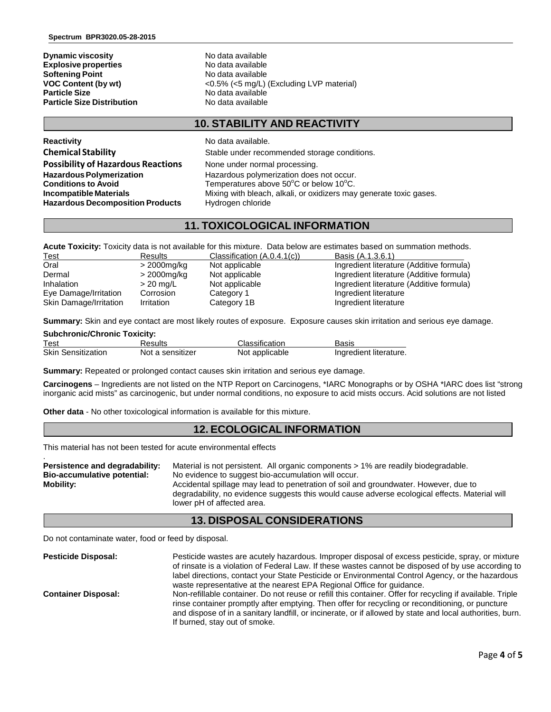**Dynamic viscosity**<br> **Explosive properties**<br>
No data available **Explosive properties**<br> **Softening Point**<br> **Softening Point Softening Point Softening Point Softening Point Softening Point Softening Point Softening Point Softening Point Softening Point Softening Point<br>VOC Content (by wt) Particle Size Distribution** 

**VOC Content (by wt)** <0.5% (<5 mg/L) (Excluding LVP material)<br> **Particle Size COLOGY** No data available **No data available**<br>No data available

## **10. STABILITY AND REACTIVITY**

**Reactivity No data available. Possibility of Hazardous Reactions** None under normal processing. **Hazardous Decomposition Products** Hydrogen chloride

**Chemical Stability** Stable under recommended storage conditions. **Hazardous Polymerization Hazardous polymerization does not occur. Conditions to Avoid** Temperatures above 50°C or below 10°C. **Incompatible Materials** Mixing with bleach, alkali, or oxidizers may generate toxic gases.

## **11. TOXICOLOGICAL INFORMATION**

**Acute Toxicity:** Toxicity data is not available for this mixture. Data below are estimates based on summation methods.

| <b>Test</b>            | <b>Results</b> | Classification (A.0.4.1(c)) | Basis (A.1.3.6.1)                        |
|------------------------|----------------|-----------------------------|------------------------------------------|
| Oral                   | > 2000mg/kg    | Not applicable              | Ingredient literature (Additive formula) |
| Dermal                 | > 2000mg/kg    | Not applicable              | Ingredient literature (Additive formula) |
| Inhalation             | $>$ 20 mg/L    | Not applicable              | Ingredient literature (Additive formula) |
| Eye Damage/Irritation  | Corrosion      | Category 1                  | Ingredient literature                    |
| Skin Damage/Irritation | Irritation     | Category 1B                 | Ingredient literature                    |

**Summary:** Skin and eye contact are most likely routes of exposure. Exposure causes skin irritation and serious eye damage.

#### **Subchronic/Chronic Toxicity:**

| Test                      | Results          | Classification | Basis                  |
|---------------------------|------------------|----------------|------------------------|
| <b>Skin Sensitization</b> | Not a sensitizer | Not applicable | Ingredient literature. |

**Summary:** Repeated or prolonged contact causes skin irritation and serious eye damage.

**Carcinogens** – Ingredients are not listed on the NTP Report on Carcinogens, \*IARC Monographs or by OSHA \*IARC does list "strong inorganic acid mists" as carcinogenic, but under normal conditions, no exposure to acid mists occurs. Acid solutions are not listed

**Other data** - No other toxicological information is available for this mixture.

#### **12. ECOLOGICAL INFORMATION**

This material has not been tested for acute environmental effects

| Persistence and degradability: | Material is not persistent. All organic components > 1% are readily biodegradable.                                           |
|--------------------------------|------------------------------------------------------------------------------------------------------------------------------|
| Bio-accumulative potential:    | No evidence to suggest bio-accumulation will occur.                                                                          |
| Mobility:                      | Accidental spillage may lead to penetration of soil and groundwater. However, due to                                         |
|                                | degradability, no evidence suggests this would cause adverse ecological effects. Material will<br>lower pH of affected area. |

## **13. DISPOSAL CONSIDERATIONS**

Do not contaminate water, food or feed by disposal.

| <b>Pesticide Disposal:</b> | Pesticide wastes are acutely hazardous. Improper disposal of excess pesticide, spray, or mixture<br>of rinsate is a violation of Federal Law. If these wastes cannot be disposed of by use according to<br>label directions, contact your State Pesticide or Environmental Control Agency, or the hazardous<br>waste representative at the nearest EPA Regional Office for guidance. |
|----------------------------|--------------------------------------------------------------------------------------------------------------------------------------------------------------------------------------------------------------------------------------------------------------------------------------------------------------------------------------------------------------------------------------|
| <b>Container Disposal:</b> | Non-refillable container. Do not reuse or refill this container. Offer for recycling if available. Triple<br>rinse container promptly after emptying. Then offer for recycling or reconditioning, or puncture<br>and dispose of in a sanitary landfill, or incinerate, or if allowed by state and local authorities, burn.<br>If burned, stay out of smoke.                          |